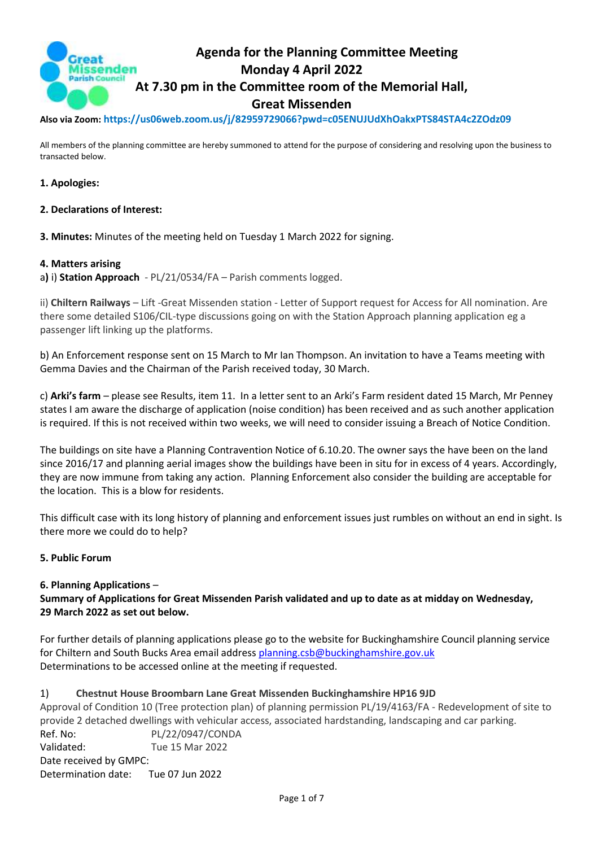

**Also via Zoom: https://us06web.zoom.us/j/82959729066?pwd=c05ENUJUdXhOakxPTS84STA4c2ZOdz09**

All members of the planning committee are hereby summoned to attend for the purpose of considering and resolving upon the business to transacted below.

### **1. Apologies:**

#### **2. Declarations of Interest:**

**3. Minutes:** Minutes of the meeting held on Tuesday 1 March 2022 for signing.

#### **4. Matters arising**

a**)** i) **Station Approach** - PL/21/0534/FA – Parish comments logged.

ii) **Chiltern Railways** – Lift -Great Missenden station - Letter of Support request for Access for All nomination. Are there some detailed S106/CIL-type discussions going on with the Station Approach planning application eg a passenger lift linking up the platforms.

b) An Enforcement response sent on 15 March to Mr Ian Thompson. An invitation to have a Teams meeting with Gemma Davies and the Chairman of the Parish received today, 30 March.

c) **Arki's farm** – please see Results, item 11. In a letter sent to an Arki's Farm resident dated 15 March, Mr Penney states I am aware the discharge of application (noise condition) has been received and as such another application is required. If this is not received within two weeks, we will need to consider issuing a Breach of Notice Condition.

The buildings on site have a Planning Contravention Notice of 6.10.20. The owner says the have been on the land since 2016/17 and planning aerial images show the buildings have been in situ for in excess of 4 years. Accordingly, they are now immune from taking any action. Planning Enforcement also consider the building are acceptable for the location. This is a blow for residents.

This difficult case with its long history of planning and enforcement issues just rumbles on without an end in sight. Is there more we could do to help?

#### **5. Public Forum**

#### **6. Planning Applications** –

**Summary of Applications for Great Missenden Parish validated and up to date as at midday on Wednesday, 29 March 2022 as set out below.**

For further details of planning applications please go to the website for Buckinghamshire Council planning service for Chiltern and South Bucks Area email address [planning.csb@buckinghamshire.gov.uk](mailto:planning.csb@buckinghamshire.gov.uk) Determinations to be accessed online at the meeting if requested.

#### 1) **Chestnut House Broombarn Lane Great Missenden Buckinghamshire HP16 9JD**

Approval of Condition 10 (Tree protection plan) of planning permission PL/19/4163/FA - Redevelopment of site to provide 2 detached dwellings with vehicular access, associated hardstanding, landscaping and car parking. Ref. No: PL/22/0947/CONDA Validated: Tue 15 Mar 2022 Date received by GMPC: Determination date: Tue 07 Jun 2022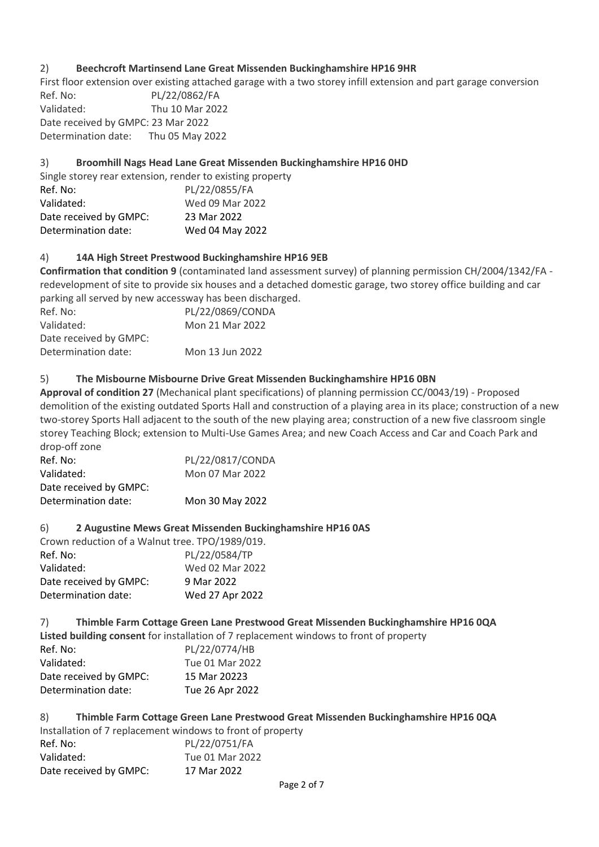### 2) **Beechcroft Martinsend Lane Great Missenden Buckinghamshire HP16 9HR**

First floor extension over existing attached garage with a two storey infill extension and part garage conversion

Ref. No: PL/22/0862/FA Validated: Thu 10 Mar 2022 Date received by GMPC: 23 Mar 2022 Determination date: Thu 05 May 2022

# 3) **Broomhill Nags Head Lane Great Missenden Buckinghamshire HP16 0HD**

| Single storey rear extension, render to existing property |                 |
|-----------------------------------------------------------|-----------------|
| Ref. No:                                                  | PL/22/0855/FA   |
| Validated:                                                | Wed 09 Mar 2022 |
| Date received by GMPC:                                    | 23 Mar 2022     |
| Determination date:                                       | Wed 04 May 2022 |
|                                                           |                 |

# 4) **14A High Street Prestwood Buckinghamshire HP16 9EB**

**Confirmation that condition 9** (contaminated land assessment survey) of planning permission CH/2004/1342/FA redevelopment of site to provide six houses and a detached domestic garage, two storey office building and car parking all served by new accessway has been discharged.

| Ref. No:               | PL/22/0869/CONDA |
|------------------------|------------------|
| Validated:             | Mon 21 Mar 2022  |
| Date received by GMPC: |                  |
| Determination date:    | Mon 13 Jun 2022  |
|                        |                  |

# 5) **The Misbourne Misbourne Drive Great Missenden Buckinghamshire HP16 0BN**

**Approval of condition 27** (Mechanical plant specifications) of planning permission CC/0043/19) - Proposed demolition of the existing outdated Sports Hall and construction of a playing area in its place; construction of a new two-storey Sports Hall adjacent to the south of the new playing area; construction of a new five classroom single storey Teaching Block; extension to Multi-Use Games Area; and new Coach Access and Car and Coach Park and drop-off zone

| Ref. No:               | PL/22/0817/CONDA |
|------------------------|------------------|
| Validated:             | Mon 07 Mar 2022  |
| Date received by GMPC: |                  |
| Determination date:    | Mon 30 May 2022  |

### 6) **2 Augustine Mews Great Missenden Buckinghamshire HP16 0AS**

| Crown reduction of a Walnut tree. TPO/1989/019. |                 |  |
|-------------------------------------------------|-----------------|--|
| Ref. No:                                        | PL/22/0584/TP   |  |
| Validated:                                      | Wed 02 Mar 2022 |  |
| Date received by GMPC:                          | 9 Mar 2022      |  |
| Determination date:                             | Wed 27 Apr 2022 |  |

7) **Thimble Farm Cottage Green Lane Prestwood Great Missenden Buckinghamshire HP16 0QA Listed building consent** for installation of 7 replacement windows to front of property Ref. No: PL/22/0774/HB Validated: Tue 01 Mar 2022 Date received by GMPC: 15 Mar 20223 Determination date: Tue 26 Apr 2022

| 8) -                                                       |                        | Thimble Farm Cottage Green Lane Prestwood Great Missenden Buckinghamshire HP16 0QA |
|------------------------------------------------------------|------------------------|------------------------------------------------------------------------------------|
| Installation of 7 replacement windows to front of property |                        |                                                                                    |
| Ref. No:                                                   |                        | PL/22/0751/FA                                                                      |
| Validated:                                                 |                        | Tue 01 Mar 2022                                                                    |
|                                                            | Date received by GMPC: | 17 Mar 2022                                                                        |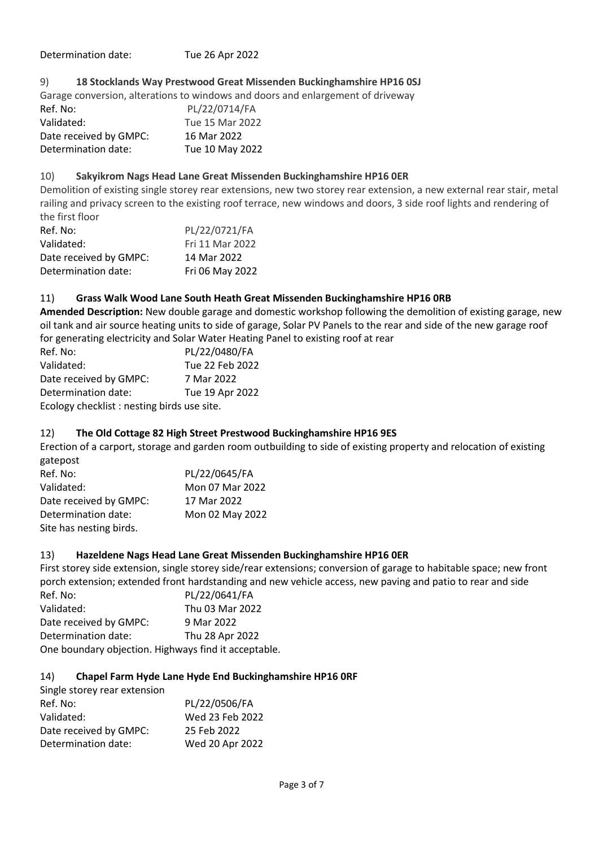Determination date: Tue 26 Apr 2022

### 9) **18 Stocklands Way Prestwood Great Missenden Buckinghamshire HP16 0SJ**

Garage conversion, alterations to windows and doors and enlargement of driveway

| Ref. No:               | PL/22/0714/FA   |
|------------------------|-----------------|
| Validated:             | Tue 15 Mar 2022 |
| Date received by GMPC: | 16 Mar 2022     |
| Determination date:    | Tue 10 May 2022 |

### 10) **Sakyikrom Nags Head Lane Great Missenden Buckinghamshire HP16 0ER**

Demolition of existing single storey rear extensions, new two storey rear extension, a new external rear stair, metal railing and privacy screen to the existing roof terrace, new windows and doors, 3 side roof lights and rendering of the first floor

| Ref. No:               | PL/22/0721/FA   |
|------------------------|-----------------|
| Validated:             | Fri 11 Mar 2022 |
| Date received by GMPC: | 14 Mar 2022     |
| Determination date:    | Fri 06 May 2022 |

### 11) **Grass Walk Wood Lane South Heath Great Missenden Buckinghamshire HP16 0RB**

**Amended Description:** New double garage and domestic workshop following the demolition of existing garage, new oil tank and air source heating units to side of garage, Solar PV Panels to the rear and side of the new garage roof for generating electricity and Solar Water Heating Panel to existing roof at rear

| Ref. No:                                   | PL/22/0480/FA   |  |
|--------------------------------------------|-----------------|--|
| Validated:                                 | Tue 22 Feb 2022 |  |
| Date received by GMPC:                     | 7 Mar 2022      |  |
| Determination date:                        | Tue 19 Apr 2022 |  |
| Ecology checklist: nesting birds use site. |                 |  |

### 12) **The Old Cottage 82 High Street Prestwood Buckinghamshire HP16 9ES**

Erection of a carport, storage and garden room outbuilding to side of existing property and relocation of existing gatepost

| Ref. No:                | PL/22/0645/FA   |
|-------------------------|-----------------|
| Validated:              | Mon 07 Mar 2022 |
| Date received by GMPC:  | 17 Mar 2022     |
| Determination date:     | Mon 02 May 2022 |
| Site has nesting birds. |                 |

### 13) **Hazeldene Nags Head Lane Great Missenden Buckinghamshire HP16 0ER**

First storey side extension, single storey side/rear extensions; conversion of garage to habitable space; new front porch extension; extended front hardstanding and new vehicle access, new paving and patio to rear and side Ref. No: PL/22/0641/FA Validated: Thu 03 Mar 2022 Date received by GMPC: 9 Mar 2022 Determination date: Thu 28 Apr 2022 One boundary objection. Highways find it acceptable.

#### 14) **Chapel Farm Hyde Lane Hyde End Buckinghamshire HP16 0RF**

| Single storey rear extension |                 |
|------------------------------|-----------------|
| Ref. No:                     | PL/22/0506/FA   |
| Validated:                   | Wed 23 Feb 2022 |
| Date received by GMPC:       | 25 Feb 2022     |
| Determination date:          | Wed 20 Apr 2022 |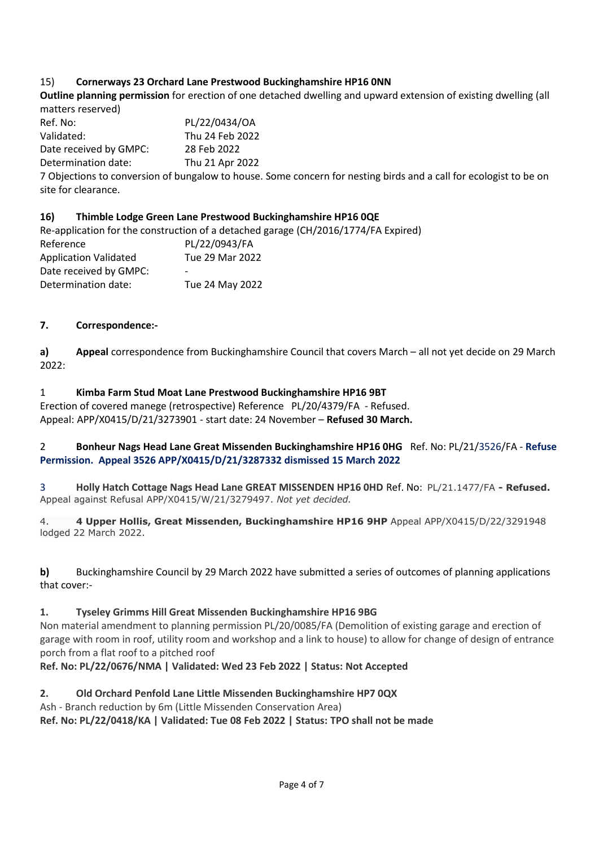# 15) **Cornerways 23 Orchard Lane Prestwood Buckinghamshire HP16 0NN**

**Outline planning permission** for erection of one detached dwelling and upward extension of existing dwelling (all matters reserved)

Ref. No: PL/22/0434/OA Validated: Thu 24 Feb 2022 Date received by GMPC: 28 Feb 2022 Determination date: Thu 21 Apr 2022

7 Objections to conversion of bungalow to house. Some concern for nesting birds and a call for ecologist to be on site for clearance.

### **16) Thimble Lodge Green Lane Prestwood Buckinghamshire HP16 0QE**

Re-application for the construction of a detached garage (CH/2016/1774/FA Expired) Reference PL/22/0943/FA Application Validated Tue 29 Mar 2022 Date received by GMPC: Determination date: Tue 24 May 2022

### **7. Correspondence:-**

**a) Appeal** correspondence from Buckinghamshire Council that covers March – all not yet decide on 29 March 2022:

### 1 **Kimba Farm Stud Moat Lane Prestwood Buckinghamshire HP16 9BT**

Erection of covered manege (retrospective) Reference PL/20/4379/FA - Refused. Appeal: APP/X0415/D/21/3273901 - start date: 24 November – **Refused 30 March.**

### 2 **Bonheur Nags Head Lane Great Missenden Buckinghamshire HP16 0HG** Ref. No: PL/21/3526/FA - **Refuse Permission. Appeal 3526 APP/X0415/D/21/3287332 dismissed 15 March 2022**

3 **Holly Hatch Cottage Nags Head Lane GREAT MISSENDEN HP16 0HD** Ref. No: PL/21.1477/FA **- Refused.**  Appeal against Refusal APP/X0415/W/21/3279497. *Not yet decided.*

4. **4 Upper Hollis, Great Missenden, Buckinghamshire HP16 9HP** Appeal APP/X0415/D/22/3291948 lodged 22 March 2022.

**b)** Buckinghamshire Council by 29 March 2022 have submitted a series of outcomes of planning applications that cover:-

### **1. Tyseley Grimms Hill Great Missenden Buckinghamshire HP16 9BG**

Non material amendment to planning permission PL/20/0085/FA (Demolition of existing garage and erection of garage with room in roof, utility room and workshop and a link to house) to allow for change of design of entrance porch from a flat roof to a pitched roof

**Ref. No: PL/22/0676/NMA | Validated: Wed 23 Feb 2022 | Status: Not Accepted**

### **2. Old Orchard Penfold Lane Little Missenden Buckinghamshire HP7 0QX**

Ash - Branch reduction by 6m (Little Missenden Conservation Area)

**Ref. No: PL/22/0418/KA | Validated: Tue 08 Feb 2022 | Status: TPO shall not be made**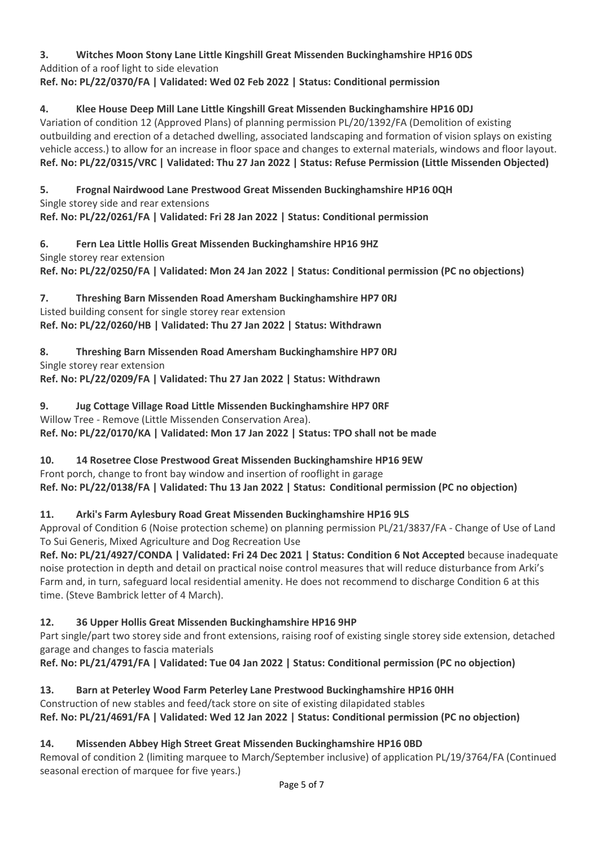**3. Witches Moon Stony Lane Little Kingshill Great Missenden Buckinghamshire HP16 0DS** Addition of a roof light to side elevation **Ref. No: PL/22/0370/FA | Validated: Wed 02 Feb 2022 | Status: Conditional permission**

**4. Klee House Deep Mill Lane Little Kingshill Great Missenden Buckinghamshire HP16 0DJ**

Variation of condition 12 (Approved Plans) of planning permission PL/20/1392/FA (Demolition of existing outbuilding and erection of a detached dwelling, associated landscaping and formation of vision splays on existing vehicle access.) to allow for an increase in floor space and changes to external materials, windows and floor layout. **Ref. No: PL/22/0315/VRC | Validated: Thu 27 Jan 2022 | Status: Refuse Permission (Little Missenden Objected)**

**5. Frognal Nairdwood Lane Prestwood Great Missenden Buckinghamshire HP16 0QH** Single storey side and rear extensions **Ref. No: PL/22/0261/FA | Validated: Fri 28 Jan 2022 | Status: Conditional permission**

**6. Fern Lea Little Hollis Great Missenden Buckinghamshire HP16 9HZ** Single storey rear extension **Ref. No: PL/22/0250/FA | Validated: Mon 24 Jan 2022 | Status: Conditional permission (PC no objections)**

**7. Threshing Barn Missenden Road Amersham Buckinghamshire HP7 0RJ** Listed building consent for single storey rear extension **Ref. No: PL/22/0260/HB | Validated: Thu 27 Jan 2022 | Status: Withdrawn**

**8. Threshing Barn Missenden Road Amersham Buckinghamshire HP7 0RJ** Single storey rear extension **Ref. No: PL/22/0209/FA | Validated: Thu 27 Jan 2022 | Status: Withdrawn**

**9. Jug Cottage Village Road Little Missenden Buckinghamshire HP7 0RF** Willow Tree - Remove (Little Missenden Conservation Area). **Ref. No: PL/22/0170/KA | Validated: Mon 17 Jan 2022 | Status: TPO shall not be made**

**10. 14 Rosetree Close Prestwood Great Missenden Buckinghamshire HP16 9EW** Front porch, change to front bay window and insertion of rooflight in garage **Ref. No: PL/22/0138/FA | Validated: Thu 13 Jan 2022 | Status: Conditional permission (PC no objection)**

**11. Arki's Farm Aylesbury Road Great Missenden Buckinghamshire HP16 9LS**

Approval of Condition 6 (Noise protection scheme) on planning permission PL/21/3837/FA - Change of Use of Land To Sui Generis, Mixed Agriculture and Dog Recreation Use

**Ref. No: PL/21/4927/CONDA | Validated: Fri 24 Dec 2021 | Status: Condition 6 Not Accepted** because inadequate noise protection in depth and detail on practical noise control measures that will reduce disturbance from Arki's Farm and, in turn, safeguard local residential amenity. He does not recommend to discharge Condition 6 at this time. (Steve Bambrick letter of 4 March).

# **12. 36 Upper Hollis Great Missenden Buckinghamshire HP16 9HP**

Part single/part two storey side and front extensions, raising roof of existing single storey side extension, detached garage and changes to fascia materials

**Ref. No: PL/21/4791/FA | Validated: Tue 04 Jan 2022 | Status: Conditional permission (PC no objection)**

**13. Barn at Peterley Wood Farm Peterley Lane Prestwood Buckinghamshire HP16 0HH** Construction of new stables and feed/tack store on site of existing dilapidated stables **Ref. No: PL/21/4691/FA | Validated: Wed 12 Jan 2022 | Status: Conditional permission (PC no objection)**

# **14. Missenden Abbey High Street Great Missenden Buckinghamshire HP16 0BD**

Removal of condition 2 (limiting marquee to March/September inclusive) of application PL/19/3764/FA (Continued seasonal erection of marquee for five years.)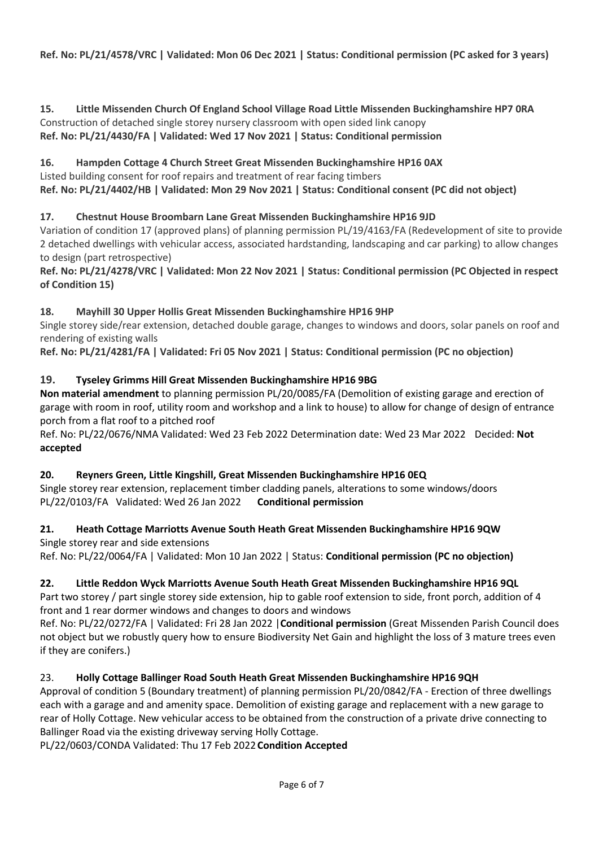**15. Little Missenden Church Of England School Village Road Little Missenden Buckinghamshire HP7 0RA** Construction of detached single storey nursery classroom with open sided link canopy **Ref. No: PL/21/4430/FA | Validated: Wed 17 Nov 2021 | Status: Conditional permission**

# **16. Hampden Cottage 4 Church Street Great Missenden Buckinghamshire HP16 0AX**

Listed building consent for roof repairs and treatment of rear facing timbers **Ref. No: PL/21/4402/HB | Validated: Mon 29 Nov 2021 | Status: Conditional consent (PC did not object)**

# **17. Chestnut House Broombarn Lane Great Missenden Buckinghamshire HP16 9JD**

Variation of condition 17 (approved plans) of planning permission PL/19/4163/FA (Redevelopment of site to provide 2 detached dwellings with vehicular access, associated hardstanding, landscaping and car parking) to allow changes to design (part retrospective)

**Ref. No: PL/21/4278/VRC | Validated: Mon 22 Nov 2021 | Status: Conditional permission (PC Objected in respect of Condition 15)**

### **18. Mayhill 30 Upper Hollis Great Missenden Buckinghamshire HP16 9HP**

Single storey side/rear extension, detached double garage, changes to windows and doors, solar panels on roof and rendering of existing walls

**Ref. No: PL/21/4281/FA | Validated: Fri 05 Nov 2021 | Status: Conditional permission (PC no objection)**

# **19. Tyseley Grimms Hill Great Missenden Buckinghamshire HP16 9BG**

**Non material amendment** to planning permission PL/20/0085/FA (Demolition of existing garage and erection of garage with room in roof, utility room and workshop and a link to house) to allow for change of design of entrance porch from a flat roof to a pitched roof

Ref. No: PL/22/0676/NMA Validated: Wed 23 Feb 2022 Determination date: Wed 23 Mar 2022 Decided: **Not accepted**

### **20. Reyners Green, Little Kingshill, Great Missenden Buckinghamshire HP16 0EQ**

Single storey rear extension, replacement timber cladding panels, alterations to some windows/doors PL/22/0103/FA Validated: Wed 26 Jan 2022 **Conditional permission**

### **21. Heath Cottage Marriotts Avenue South Heath Great Missenden Buckinghamshire HP16 9QW** Single storey rear and side extensions

Ref. No: PL/22/0064/FA | Validated: Mon 10 Jan 2022 | Status: **Conditional permission (PC no objection)**

# **22. Little Reddon Wyck Marriotts Avenue South Heath Great Missenden Buckinghamshire HP16 9QL**

Part two storey / part single storey side extension, hip to gable roof extension to side, front porch, addition of 4 front and 1 rear dormer windows and changes to doors and windows

Ref. No: PL/22/0272/FA | Validated: Fri 28 Jan 2022 |**Conditional permission** (Great Missenden Parish Council does not object but we robustly query how to ensure Biodiversity Net Gain and highlight the loss of 3 mature trees even if they are conifers.)

# 23. **Holly Cottage Ballinger Road South Heath Great Missenden Buckinghamshire HP16 9QH**

Approval of condition 5 (Boundary treatment) of planning permission PL/20/0842/FA - Erection of three dwellings each with a garage and and amenity space. Demolition of existing garage and replacement with a new garage to rear of Holly Cottage. New vehicular access to be obtained from the construction of a private drive connecting to Ballinger Road via the existing driveway serving Holly Cottage.

PL/22/0603/CONDA Validated: Thu 17 Feb 2022**Condition Accepted**